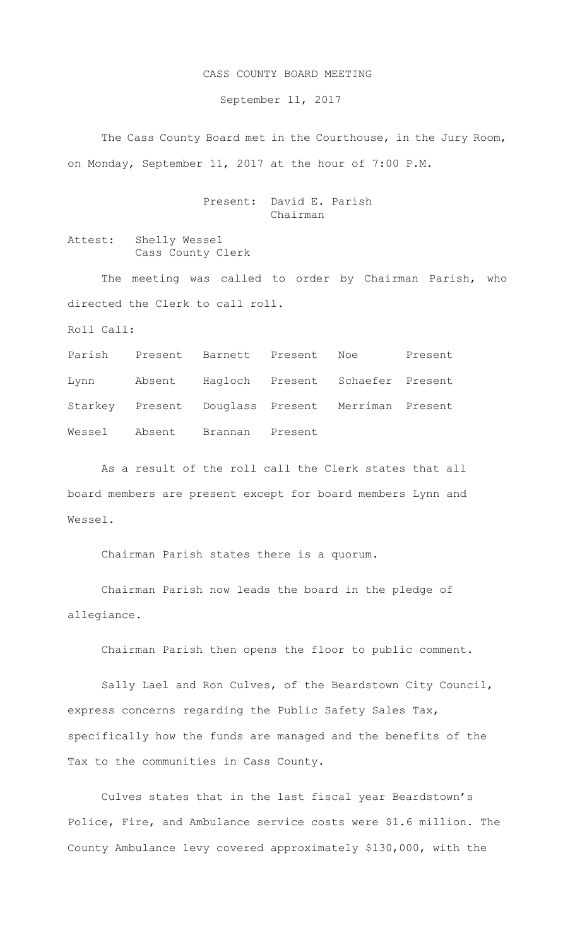## CASS COUNTY BOARD MEETING

September 11, 2017

The Cass County Board met in the Courthouse, in the Jury Room, on Monday, September 11, 2017 at the hour of 7:00 P.M.

> Present: David E. Parish Chairman

Attest: Shelly Wessel Cass County Clerk

The meeting was called to order by Chairman Parish, who directed the Clerk to call roll.

Roll Call:

Parish Present Barnett Present Noe Present Lynn Absent Hagloch Present Schaefer Present Starkey Present Douglass Present Merriman Present Wessel Absent Brannan Present

As a result of the roll call the Clerk states that all board members are present except for board members Lynn and Wessel.

Chairman Parish states there is a quorum.

Chairman Parish now leads the board in the pledge of allegiance.

Chairman Parish then opens the floor to public comment.

Sally Lael and Ron Culves, of the Beardstown City Council, express concerns regarding the Public Safety Sales Tax, specifically how the funds are managed and the benefits of the Tax to the communities in Cass County.

Culves states that in the last fiscal year Beardstown's Police, Fire, and Ambulance service costs were \$1.6 million. The County Ambulance levy covered approximately \$130,000, with the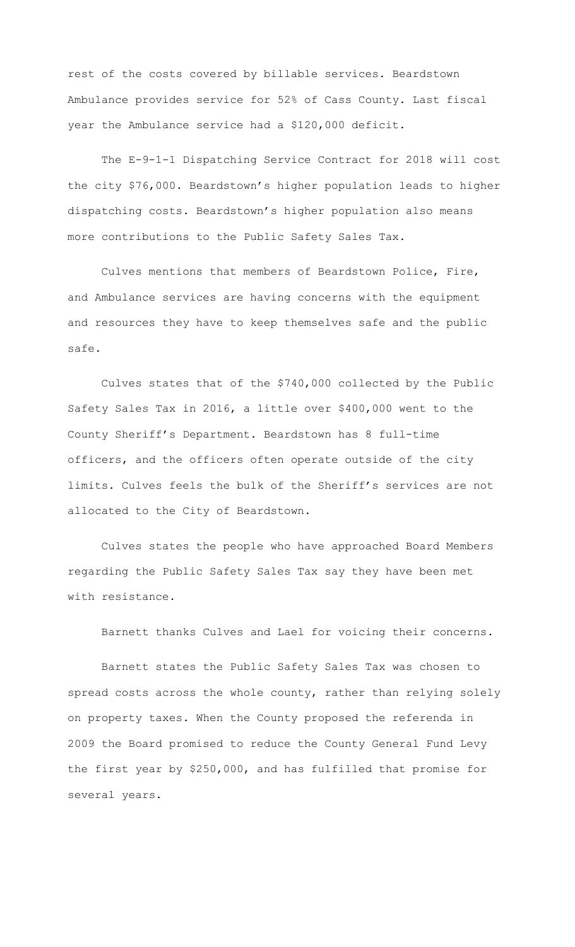rest of the costs covered by billable services. Beardstown Ambulance provides service for 52% of Cass County. Last fiscal year the Ambulance service had a \$120,000 deficit.

The E-9-1-1 Dispatching Service Contract for 2018 will cost the city \$76,000. Beardstown's higher population leads to higher dispatching costs. Beardstown's higher population also means more contributions to the Public Safety Sales Tax.

Culves mentions that members of Beardstown Police, Fire, and Ambulance services are having concerns with the equipment and resources they have to keep themselves safe and the public safe.

Culves states that of the \$740,000 collected by the Public Safety Sales Tax in 2016, a little over \$400,000 went to the County Sheriff's Department. Beardstown has 8 full-time officers, and the officers often operate outside of the city limits. Culves feels the bulk of the Sheriff's services are not allocated to the City of Beardstown.

Culves states the people who have approached Board Members regarding the Public Safety Sales Tax say they have been met with resistance.

Barnett thanks Culves and Lael for voicing their concerns.

Barnett states the Public Safety Sales Tax was chosen to spread costs across the whole county, rather than relying solely on property taxes. When the County proposed the referenda in 2009 the Board promised to reduce the County General Fund Levy the first year by \$250,000, and has fulfilled that promise for several years.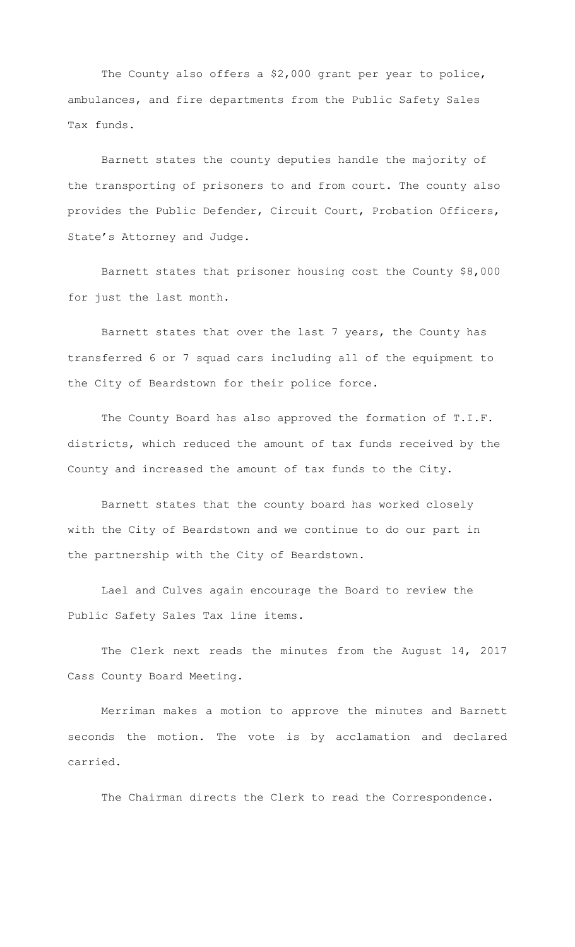The County also offers a \$2,000 grant per year to police, ambulances, and fire departments from the Public Safety Sales Tax funds.

Barnett states the county deputies handle the majority of the transporting of prisoners to and from court. The county also provides the Public Defender, Circuit Court, Probation Officers, State's Attorney and Judge.

Barnett states that prisoner housing cost the County \$8,000 for just the last month.

Barnett states that over the last 7 years, the County has transferred 6 or 7 squad cars including all of the equipment to the City of Beardstown for their police force.

The County Board has also approved the formation of T.I.F. districts, which reduced the amount of tax funds received by the County and increased the amount of tax funds to the City.

Barnett states that the county board has worked closely with the City of Beardstown and we continue to do our part in the partnership with the City of Beardstown.

Lael and Culves again encourage the Board to review the Public Safety Sales Tax line items.

The Clerk next reads the minutes from the August 14, 2017 Cass County Board Meeting.

Merriman makes a motion to approve the minutes and Barnett seconds the motion. The vote is by acclamation and declared carried.

The Chairman directs the Clerk to read the Correspondence.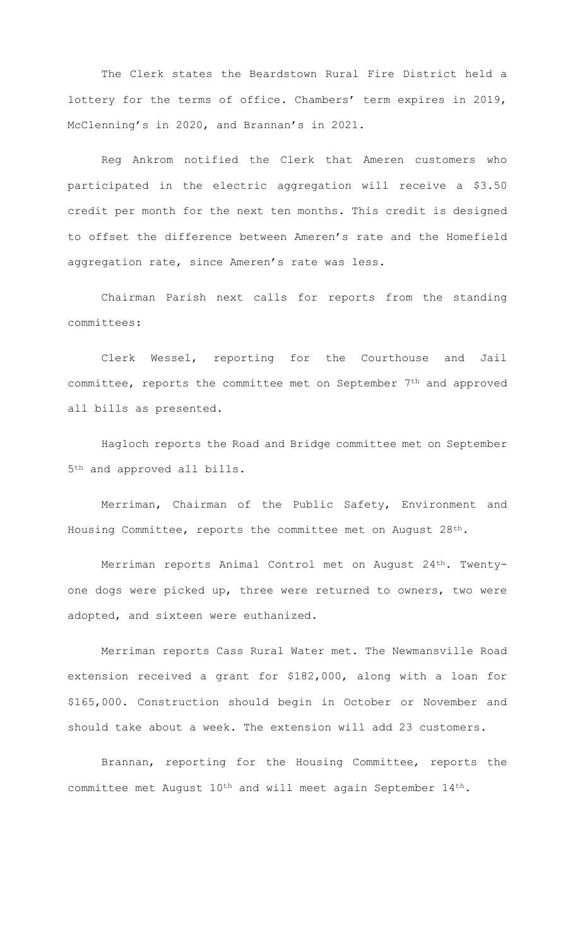The Clerk states the Beardstown Rural Fire District held a lottery for the terms of office. Chambers' term expires in 2019, McClenning's in 2020, and Brannan's in 2021.

Reg Ankrom notified the Clerk that Ameren customers who participated in the electric aggregation will receive a \$3.50 credit per month for the next ten months. This credit is designed to offset the difference between Ameren's rate and the Homefield aggregation rate, since Ameren's rate was less.

Chairman Parish next calls for reports from the standing committees:

Clerk Wessel, reporting for the Courthouse and Jail committee, reports the committee met on September 7th and approved all bills as presented.

Hagloch reports the Road and Bridge committee met on September 5th and approved all bills.

Merriman, Chairman of the Public Safety, Environment and Housing Committee, reports the committee met on August 28th.

Merriman reports Animal Control met on August 24th. Twentyone dogs were picked up, three were returned to owners, two were adopted, and sixteen were euthanized.

Merriman reports Cass Rural Water met. The Newmansville Road extension received a grant for \$182,000, along with a loan for \$165,000. Construction should begin in October or November and should take about a week. The extension will add 23 customers.

Brannan, reporting for the Housing Committee, reports the committee met August 10th and will meet again September 14th.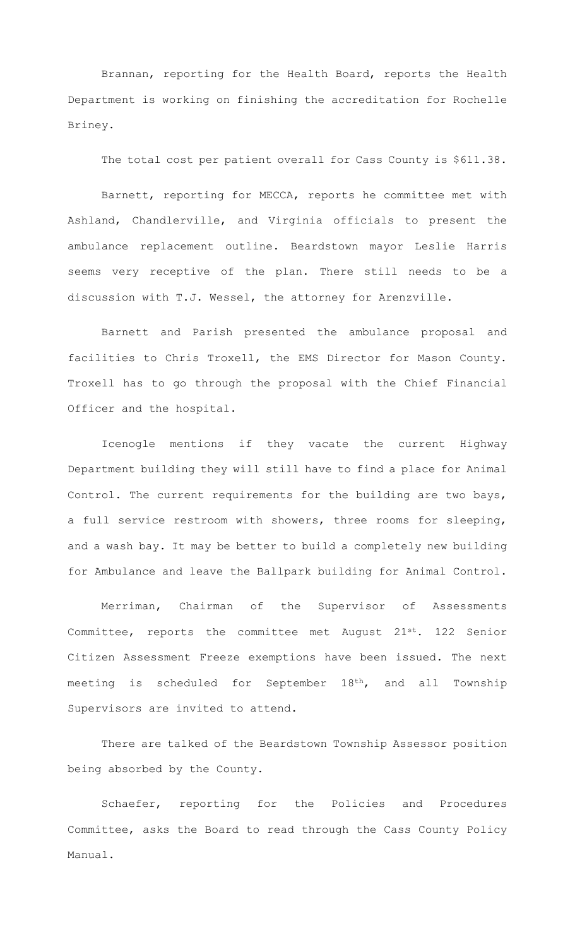Brannan, reporting for the Health Board, reports the Health Department is working on finishing the accreditation for Rochelle Briney.

The total cost per patient overall for Cass County is \$611.38.

Barnett, reporting for MECCA, reports he committee met with Ashland, Chandlerville, and Virginia officials to present the ambulance replacement outline. Beardstown mayor Leslie Harris seems very receptive of the plan. There still needs to be a discussion with T.J. Wessel, the attorney for Arenzville.

Barnett and Parish presented the ambulance proposal and facilities to Chris Troxell, the EMS Director for Mason County. Troxell has to go through the proposal with the Chief Financial Officer and the hospital.

Icenogle mentions if they vacate the current Highway Department building they will still have to find a place for Animal Control. The current requirements for the building are two bays, a full service restroom with showers, three rooms for sleeping, and a wash bay. It may be better to build a completely new building for Ambulance and leave the Ballpark building for Animal Control.

Merriman, Chairman of the Supervisor of Assessments Committee, reports the committee met August 21st. 122 Senior Citizen Assessment Freeze exemptions have been issued. The next meeting is scheduled for September 18<sup>th</sup>, and all Township Supervisors are invited to attend.

There are talked of the Beardstown Township Assessor position being absorbed by the County.

Schaefer, reporting for the Policies and Procedures Committee, asks the Board to read through the Cass County Policy Manual.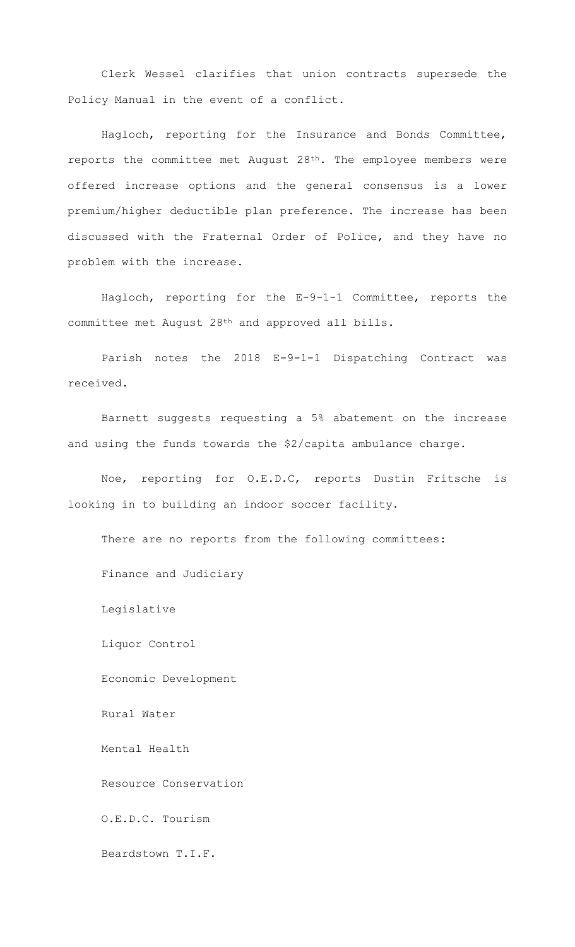Clerk Wessel clarifies that union contracts supersede the Policy Manual in the event of a conflict.

Hagloch, reporting for the Insurance and Bonds Committee, reports the committee met August 28th. The employee members were offered increase options and the general consensus is a lower premium/higher deductible plan preference. The increase has been discussed with the Fraternal Order of Police, and they have no problem with the increase.

Hagloch, reporting for the E-9-1-1 Committee, reports the committee met August 28th and approved all bills.

Parish notes the 2018 E-9-1-1 Dispatching Contract was received.

Barnett suggests requesting a 5% abatement on the increase and using the funds towards the \$2/capita ambulance charge.

Noe, reporting for O.E.D.C, reports Dustin Fritsche is looking in to building an indoor soccer facility.

There are no reports from the following committees: Finance and Judiciary Legislative Liquor Control Economic Development Rural Water Mental Health Resource Conservation O.E.D.C. Tourism Beardstown T.I.F.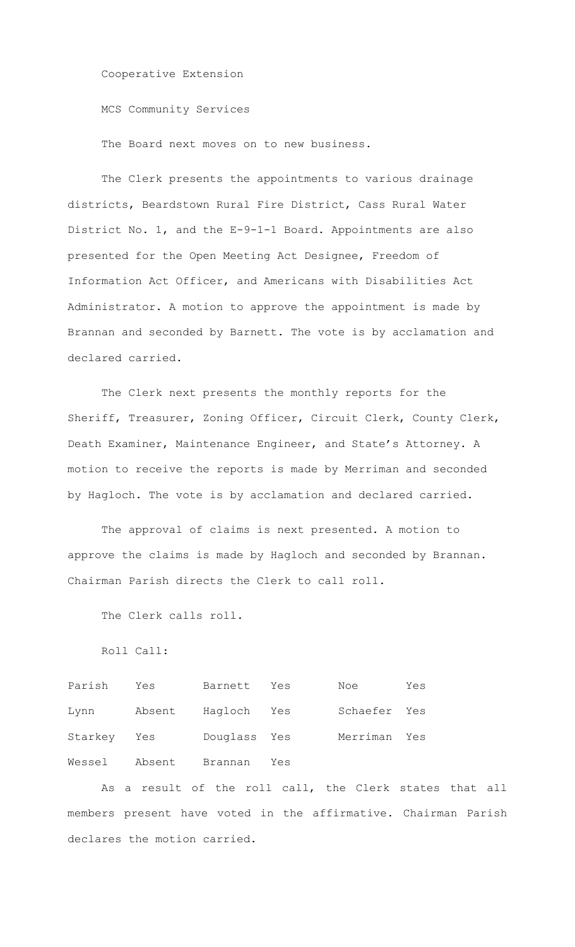Cooperative Extension

MCS Community Services

The Board next moves on to new business.

The Clerk presents the appointments to various drainage districts, Beardstown Rural Fire District, Cass Rural Water District No. 1, and the E-9-1-1 Board. Appointments are also presented for the Open Meeting Act Designee, Freedom of Information Act Officer, and Americans with Disabilities Act Administrator. A motion to approve the appointment is made by Brannan and seconded by Barnett. The vote is by acclamation and declared carried.

The Clerk next presents the monthly reports for the Sheriff, Treasurer, Zoning Officer, Circuit Clerk, County Clerk, Death Examiner, Maintenance Engineer, and State's Attorney. A motion to receive the reports is made by Merriman and seconded by Hagloch. The vote is by acclamation and declared carried.

The approval of claims is next presented. A motion to approve the claims is made by Hagloch and seconded by Brannan. Chairman Parish directs the Clerk to call roll.

The Clerk calls roll.

Roll Call:

Parish Yes Barnett Yes Noe Yes Lynn Absent Hagloch Yes Schaefer Yes Starkey Yes Douglass Yes Merriman Yes Wessel Absent Brannan Yes

As a result of the roll call, the Clerk states that all members present have voted in the affirmative. Chairman Parish declares the motion carried.